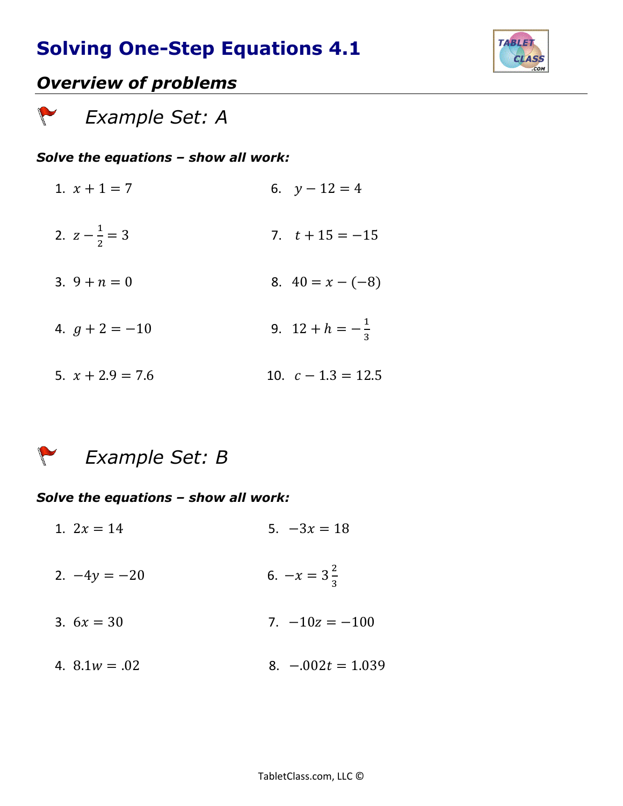

### *Overview of problems*

 *Example Set: A* 

#### *Solve the equations – show all work:*

1.  $x + 1 = 7$  6.  $y - 12 = 4$ 2.  $z-\frac{1}{2}$ 2 7.  $t + 15 = -15$ 3.  $9 + n = 0$ <br>8.  $40 = x - (-8)$ 4.  $g + 2 = -10$  9.  $12 + h = -\frac{1}{3}$ 3 5.  $x + 2.9 = 7.6$  10.  $c - 1.3 = 12.5$ 

#### *Example Set: B*

#### *Solve the equations – show all work:*

- 1.  $2x = 14$  5.  $-3x = 18$  $2. -4y = -20$ 2 3 3.  $6x = 30$  7.  $-10z = -100$
- 4.  $8.1w = .02$  8.  $-.002t = 1.039$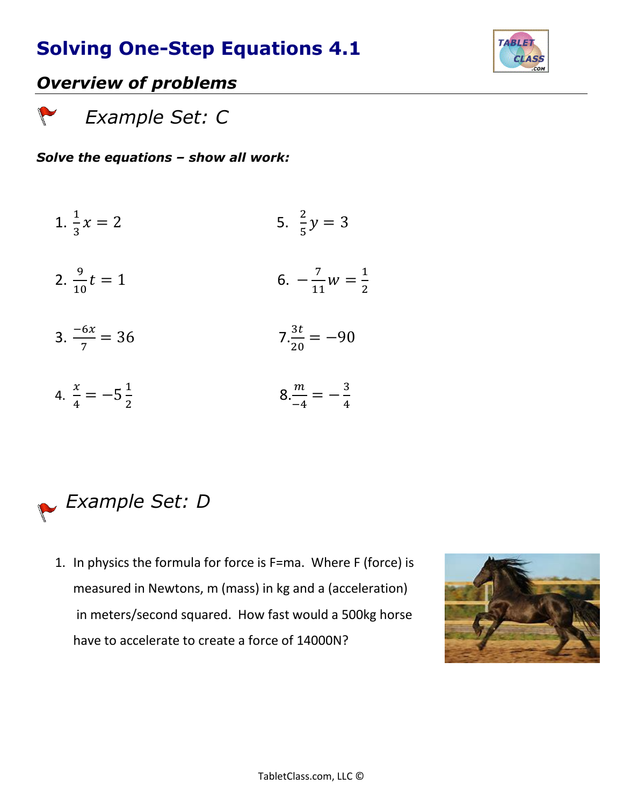

### *Overview of problems*

 *Example Set: C*

### *Solve the equations – show all work:*

- 1.  $\frac{1}{3}x = 2$  5.  $\frac{2}{5}$  $\frac{2}{5}y = 3$
- 2.  $\frac{9}{10}t = 1$  6. 7  $\frac{7}{11}w = \frac{1}{2}$ 2
- 3.  $\frac{-6x}{7} = 36$  7. $\frac{3t}{20}$  $\frac{3c}{20} = -90$
- 4.  $\frac{x}{4}$  $\frac{x}{4} = -5\frac{1}{2}$ 2  $8.\frac{m}{-4}=-\frac{3}{4}$ 4



1. In physics the formula for force is F=ma. Where F (force) is measured in Newtons, m (mass) in kg and a (acceleration) in meters/second squared. How fast would a 500kg horse have to accelerate to create a force of 14000N?

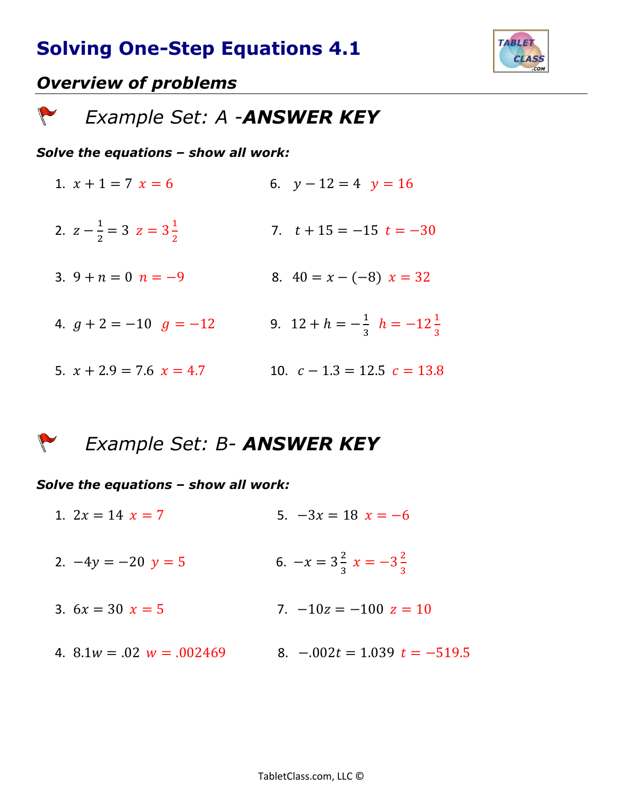

### *Overview of problems*

 $\sqrt{2}$ 

 *Example Set: A -ANSWER KEY*

#### *Solve the equations – show all work:*

1.  $x + 1 = 7$   $x = 6$ <br>6.  $y - 12 = 4$   $y = 16$ 2.  $z-\frac{1}{2}$  $\frac{1}{2}$  = 3  $z$  = 3 $\frac{1}{2}$ 2 7.  $t + 15 = -15$   $t = -30$ 3.  $9 + n = 0$   $n = -9$ <br>8.  $40 = x - (-8)$   $x = 32$ 4.  $g + 2 = -10$   $g = -12$ 1  $\frac{1}{3}$   $h = -12\frac{1}{3}$ 5.  $x + 2.9 = 7.6$   $x = 4.7$  10.  $c - 1.3 = 12.5$   $c = 13.8$ 

 *Example Set: B- ANSWER KEY*  $\sqrt{2}$ 

#### *Solve the equations – show all work:*

1.  $2x = 14$   $x = 7$  5.  $-3x = 18$   $x = -6$ 2.  $-4y = -20 y = 5$ 2  $\frac{2}{3}x = -3\frac{2}{3}$ 3 3.  $6x = 30$   $x = 5$  7.  $-10z = -100$   $z = 10$ 4.  $8.1w = 0.02$   $w = 0.002469$  8.  $-0.002t = 1.039$   $t = -519.5$